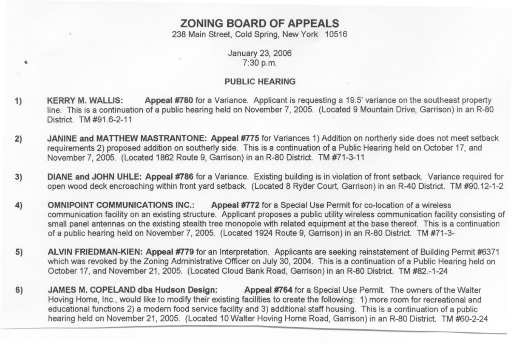# **ZONING BOARD OF APPEALS**

238 Main Street, Cold Spring, New York 10516

## January 23, 2006 7:30 p.m.

6

### PUBLIC HEARING

- 1) KERRY M. WALLIS: Appeal #780 for a Variance. Applicant is requesting a 19.5' variance on the southeast property line. This is a continuation of a public hearing held on November 7, 2005. (Located 9 Mountain Drive, Garrison) in an R-80 District TM#91.6-2-11
- 2) JANINE and MATTHEW MASTRANTONE: Appeal #775 for Variances 1) Addition on northerly side does not meet setback requirements2) proposed addition on southerly side. This is a continuation of a Public Hearing held on October 17, and November 7,2005. (Located 1862 Route 9, Garrison) in an R-80 District. TM#71-3-11
- 3) DIANE and JOHN UHLE: Appeal #786 for a Variance. Existing building is in violation of front setback. Variance required for open wood deck encroaching within front yard setback. (Located 8 Ryder Court, Garrison) in an R-40 District. TM#90.12-1-2
- 4) OMNIPOINT COMMUNICATIONS INC.: Appeal #772 for a Special Use Permit for co-location of a wireless communication facility on an existing structure. Applicant proposes a public utility wireless communication facility consisting of small panel antennas on the existing stealth tree monopole with related equipment at the base thereof. This is a continuation of a public hearing held on November 7,2005. (Located 1924 Route 9, Garrison) in an R-80 District. TM #71-3-
- 5) ALVIN FRIEDMAN-KIEN: Appeal #779 for an Interpretation. Applicants are seeking reinstatement of Building Permit #6371 which was revoked by the Zoning Administrative Officer on July 30, 2004. This is a continuation of a Public Hearing held on October 17, and November 21, 2005. (Located Cloud Bank Road, Garrison) in an R-80 District. TM #82.-1-24
- 6) JAMES M. COPELAND dba Hudson Design: Appeal #764 for a Special Use Permit. The owners of the Walter Hoving Home, Inc., would like to modify their existing facilities to create the following: 1) more room for recreational and educational functions 2) a modern food service facility and 3) additional staff housing. This is a continuation of a public hearing held on November 21,2005. (Located 10 Walter Hoving Home Road, Garrison) in an R-80 District. TM #60-2-24